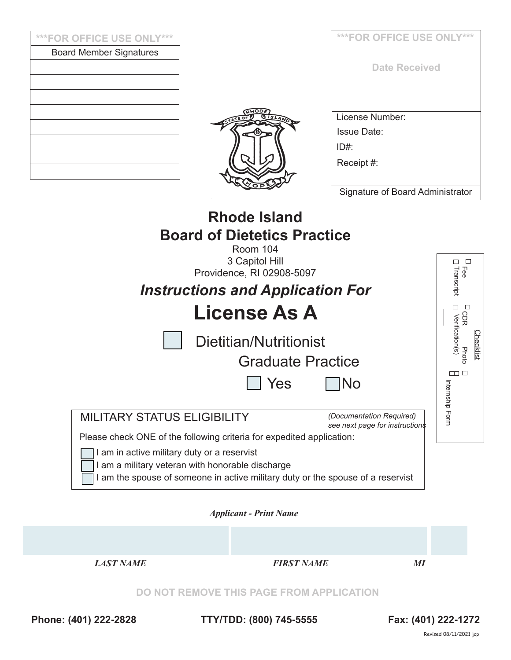| ***FOR OFFICE USE ONLY***                   |                                                                                                                                          | ***FOR OFFICE USE ONLY***                                  |                                  |  |
|---------------------------------------------|------------------------------------------------------------------------------------------------------------------------------------------|------------------------------------------------------------|----------------------------------|--|
| <b>Board Member Signatures</b>              |                                                                                                                                          |                                                            |                                  |  |
|                                             |                                                                                                                                          | <b>Date Received</b>                                       |                                  |  |
|                                             |                                                                                                                                          |                                                            |                                  |  |
|                                             |                                                                                                                                          | License Number:                                            |                                  |  |
|                                             | <b>Issue Date:</b>                                                                                                                       |                                                            |                                  |  |
|                                             |                                                                                                                                          | $ID#$ :                                                    |                                  |  |
|                                             |                                                                                                                                          | Receipt #:                                                 |                                  |  |
|                                             |                                                                                                                                          | Signature of Board Administrator                           |                                  |  |
|                                             | <b>Board of Dietetics Practice</b><br>Room 104<br>3 Capitol Hill<br>Providence, RI 02908-5097<br><b>Instructions and Application For</b> |                                                            | $\Box$<br>□<br>Fee<br>Transcript |  |
|                                             | <b>License As A</b>                                                                                                                      |                                                            | □<br>$\Box$<br>СDR               |  |
|                                             | Dietitian/Nutritionist                                                                                                                   |                                                            | Verification(s)<br>hecklist      |  |
|                                             | <b>Graduate Practice</b>                                                                                                                 |                                                            | Photo                            |  |
|                                             | Yes                                                                                                                                      | No                                                         | $\Box$ $\Box$<br>화               |  |
| <b>MILITARY STATUS ELIGIBILITY</b>          | Please check ONE of the following criteria for expedited application:                                                                    | (Documentation Required)<br>see next page for instructions | ernship Form                     |  |
| I am in active military duty or a reservist |                                                                                                                                          |                                                            |                                  |  |

I am a military veteran with honorable discharge

I am the spouse of someone in active military duty or the spouse of a reservist

*Applicant - Print Name* 



**Phone: (401) 222-2828 TTY/TDD: (800) 745-5555 Fax: (401) 222-1272**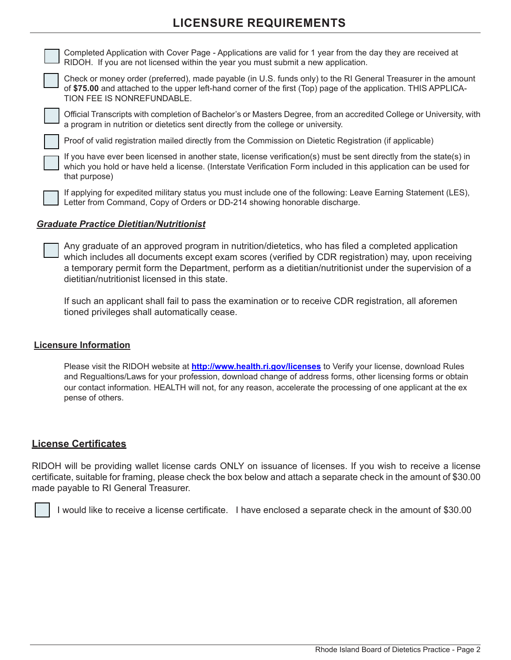# **LICENSURE REQUIREMENTS**

| Completed Application with Cover Page - Applications are valid for 1 year from the day they are received at<br>RIDOH. If you are not licensed within the year you must submit a new application.                                                               |
|----------------------------------------------------------------------------------------------------------------------------------------------------------------------------------------------------------------------------------------------------------------|
| Check or money order (preferred), made payable (in U.S. funds only) to the RI General Treasurer in the amount<br>of \$75.00 and attached to the upper left-hand corner of the first (Top) page of the application. THIS APPLICA-<br>TION FEE IS NONREFUNDABLE. |
| Official Transcripts with completion of Bachelor's or Masters Degree, from an accredited College or University, with<br>a program in nutrition or dietetics sent directly from the college or university.                                                      |
| Proof of valid registration mailed directly from the Commission on Dietetic Registration (if applicable)                                                                                                                                                       |
| If you have ever been licensed in another state, license verification(s) must be sent directly from the state(s) in<br>which you hold or have held a license. (Interstate Verification Form included in this application can be used for<br>that purpose)      |
| If applying for expedited military status you must include one of the following: Leave Earning Statement (LES),                                                                                                                                                |

## *Graduate Practice Dietitian/Nutritionist*

Any graduate of an approved program in nutrition/dietetics, who has filed a completed application which includes all documents except exam scores (verified by CDR registration) may, upon receiving a temporary permit form the Department, perform as a dietitian/nutritionist under the supervision of a dietitian/nutritionist licensed in this state.

Letter from Command, Copy of Orders or DD-214 showing honorable discharge.

If such an applicant shall fail to pass the examination or to receive CDR registration, all aforemen tioned privileges shall automatically cease.

### **Licensure Information**

Please visit the RIDOH website at **http://www.health.ri.gov/licenses** to Verify your license, download Rules and Regualtions/Laws for your profession, download change of address forms, other licensing forms or obtain our contact information. HEALTH will not, for any reason, accelerate the processing of one applicant at the ex pense of others.

## **License Certificates**

RIDOH will be providing wallet license cards ONLY on issuance of licenses. If you wish to receive a license certificate, suitable for framing, please check the box below and attach a separate check in the amount of \$30.00 made payable to RI General Treasurer.

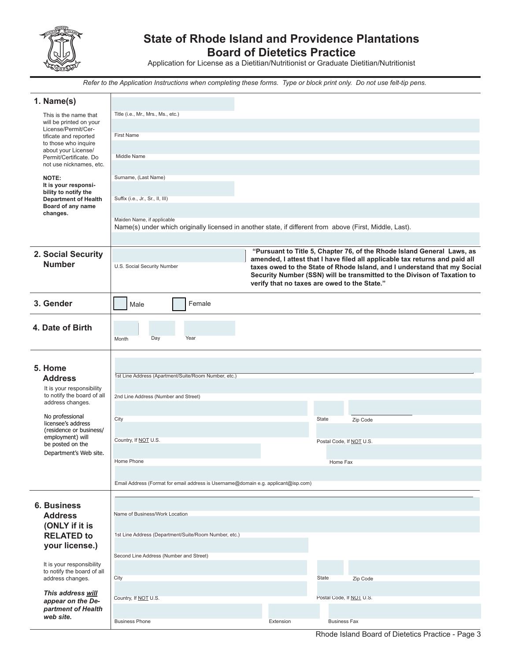

# **State of Rhode Island and Providence Plantations Board of Dietetics Practice**

Application for License as a Dietitian/Nutritionist or Graduate Dietitian/Nutritionist

*Refer to the Application Instructions when completing these forms. Type or block print only. Do not use felt-tip pens.*

| 1. Name(s)                                              |                                                                                                          |                                                                                                                                                       |  |  |  |  |
|---------------------------------------------------------|----------------------------------------------------------------------------------------------------------|-------------------------------------------------------------------------------------------------------------------------------------------------------|--|--|--|--|
| This is the name that                                   | Title (i.e., Mr., Mrs., Ms., etc.)                                                                       |                                                                                                                                                       |  |  |  |  |
| will be printed on your<br>License/Permit/Cer-          |                                                                                                          |                                                                                                                                                       |  |  |  |  |
| tificate and reported<br>to those who inquire           | <b>First Name</b>                                                                                        |                                                                                                                                                       |  |  |  |  |
| about your License/<br>Permit/Certificate. Do           | Middle Name                                                                                              |                                                                                                                                                       |  |  |  |  |
| not use nicknames, etc.                                 |                                                                                                          |                                                                                                                                                       |  |  |  |  |
| NOTE:                                                   | Surname, (Last Name)                                                                                     |                                                                                                                                                       |  |  |  |  |
| It is your responsi-<br>bility to notify the            |                                                                                                          |                                                                                                                                                       |  |  |  |  |
| <b>Department of Health</b><br>Board of any name        | Suffix (i.e., Jr., Sr., II, III)                                                                         |                                                                                                                                                       |  |  |  |  |
| changes.                                                | Maiden Name, if applicable                                                                               |                                                                                                                                                       |  |  |  |  |
|                                                         | Name(s) under which originally licensed in another state, if different from above (First, Middle, Last). |                                                                                                                                                       |  |  |  |  |
|                                                         |                                                                                                          |                                                                                                                                                       |  |  |  |  |
| 2. Social Security                                      |                                                                                                          | "Pursuant to Title 5, Chapter 76, of the Rhode Island General Laws, as<br>amended, I attest that I have filed all applicable tax returns and paid all |  |  |  |  |
| <b>Number</b>                                           | U.S. Social Security Number                                                                              | taxes owed to the State of Rhode Island, and I understand that my Social<br>Security Number (SSN) will be transmitted to the Divison of Taxation to   |  |  |  |  |
|                                                         |                                                                                                          | verify that no taxes are owed to the State."                                                                                                          |  |  |  |  |
|                                                         |                                                                                                          |                                                                                                                                                       |  |  |  |  |
| 3. Gender                                               | Female<br>Male                                                                                           |                                                                                                                                                       |  |  |  |  |
| 4. Date of Birth                                        |                                                                                                          |                                                                                                                                                       |  |  |  |  |
|                                                         | Day<br>Year<br>Month                                                                                     |                                                                                                                                                       |  |  |  |  |
|                                                         |                                                                                                          |                                                                                                                                                       |  |  |  |  |
| 5. Home                                                 |                                                                                                          |                                                                                                                                                       |  |  |  |  |
| <b>Address</b>                                          | 1st Line Address (Apartment/Suite/Room Number, etc.)                                                     |                                                                                                                                                       |  |  |  |  |
| It is your responsibility                               |                                                                                                          |                                                                                                                                                       |  |  |  |  |
| to notify the board of all<br>address changes.          | 2nd Line Address (Number and Street)                                                                     |                                                                                                                                                       |  |  |  |  |
| No professional                                         | City                                                                                                     | State<br>Zip Code                                                                                                                                     |  |  |  |  |
| licensee's address<br>(residence or business/           |                                                                                                          |                                                                                                                                                       |  |  |  |  |
| employment) will<br>be posted on the                    | Country, If NOT U.S.                                                                                     | Postal Code, If NOT U.S.                                                                                                                              |  |  |  |  |
| Department's Web site.                                  |                                                                                                          |                                                                                                                                                       |  |  |  |  |
|                                                         | Home Phone                                                                                               | Home Fax                                                                                                                                              |  |  |  |  |
|                                                         | Email Address (Format for email address is Username@domain e.g. applicant@isp.com)                       |                                                                                                                                                       |  |  |  |  |
|                                                         |                                                                                                          |                                                                                                                                                       |  |  |  |  |
| <b>6. Business</b>                                      |                                                                                                          |                                                                                                                                                       |  |  |  |  |
| <b>Address</b>                                          | Name of Business/Work Location                                                                           |                                                                                                                                                       |  |  |  |  |
| (ONLY if it is<br><b>RELATED to</b>                     | 1st Line Address (Department/Suite/Room Number, etc.)                                                    |                                                                                                                                                       |  |  |  |  |
| your license.)                                          |                                                                                                          |                                                                                                                                                       |  |  |  |  |
|                                                         | Second Line Address (Number and Street)                                                                  |                                                                                                                                                       |  |  |  |  |
| It is your responsibility<br>to notify the board of all |                                                                                                          |                                                                                                                                                       |  |  |  |  |
| address changes.                                        | City                                                                                                     | State<br>Zip Code                                                                                                                                     |  |  |  |  |
| This address will<br>appear on the De-                  | Country, If NOT U.S.                                                                                     | Postal Code, If NOT U.S.                                                                                                                              |  |  |  |  |
| partment of Health                                      |                                                                                                          |                                                                                                                                                       |  |  |  |  |
| web site.                                               | <b>Business Phone</b>                                                                                    | <b>Business Fax</b><br>Extension                                                                                                                      |  |  |  |  |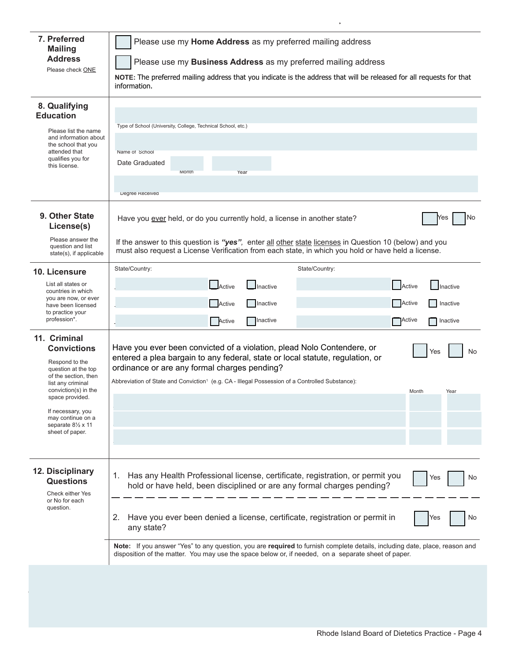| 7. Preferred<br><b>Mailing</b>                                                                                                                   | Please use my Home Address as my preferred mailing address                                                                                                                                                                                                                                                             |                           |    |  |  |  |  |
|--------------------------------------------------------------------------------------------------------------------------------------------------|------------------------------------------------------------------------------------------------------------------------------------------------------------------------------------------------------------------------------------------------------------------------------------------------------------------------|---------------------------|----|--|--|--|--|
| <b>Address</b>                                                                                                                                   | Please use my Business Address as my preferred mailing address                                                                                                                                                                                                                                                         |                           |    |  |  |  |  |
| Please check ONE                                                                                                                                 | NOTE: The preferred mailing address that you indicate is the address that will be released for all requests for that<br>information.                                                                                                                                                                                   |                           |    |  |  |  |  |
| 8. Qualifying<br><b>Education</b><br>Please list the name                                                                                        | Type of School (University, College, Technical School, etc.)                                                                                                                                                                                                                                                           |                           |    |  |  |  |  |
| and information about<br>the school that you<br>attended that                                                                                    | Name of School                                                                                                                                                                                                                                                                                                         |                           |    |  |  |  |  |
| qualifies you for<br>this license.                                                                                                               | Date Graduated<br>Month<br>Year                                                                                                                                                                                                                                                                                        |                           |    |  |  |  |  |
|                                                                                                                                                  | Degree Received                                                                                                                                                                                                                                                                                                        |                           |    |  |  |  |  |
| 9. Other State<br>License(s)                                                                                                                     | Have you ever held, or do you currently hold, a license in another state?<br>No<br>Yes<br>If the answer to this question is "yes", enter all other state licenses in Question 10 (below) and you<br>must also request a License Verification from each state, in which you hold or have held a license.                |                           |    |  |  |  |  |
| Please answer the<br>question and list<br>state(s), if applicable                                                                                |                                                                                                                                                                                                                                                                                                                        |                           |    |  |  |  |  |
| 10. Licensure                                                                                                                                    | State/Country:                                                                                                                                                                                                                                                                                                         | State/Country:            |    |  |  |  |  |
| List all states or<br>countries in which                                                                                                         | Active<br><b>Inactive</b>                                                                                                                                                                                                                                                                                              | Active<br><b>Inactive</b> |    |  |  |  |  |
| you are now, or ever<br>have been licensed                                                                                                       | Active<br>Inactive                                                                                                                                                                                                                                                                                                     | Active<br>Inactive        |    |  |  |  |  |
| to practice your<br>profession*.                                                                                                                 | Inactive<br>Active                                                                                                                                                                                                                                                                                                     | ├─ Active<br>  Inactive   |    |  |  |  |  |
| 11. Criminal<br><b>Convictions</b><br>Respond to the<br>question at the top<br>of the section, then<br>list any criminal<br>conviction(s) in the | Have you ever been convicted of a violation, plead Nolo Contendere, or<br>entered a plea bargain to any federal, state or local statute, regulation, or<br>ordinance or are any formal charges pending?<br>Abbreviation of State and Conviction <sup>1</sup> (e.g. CA - Illegal Possession of a Controlled Substance): | Yes                       | No |  |  |  |  |
| space provided.                                                                                                                                  |                                                                                                                                                                                                                                                                                                                        | Month<br>Year             |    |  |  |  |  |
| If necessary, you<br>may continue on a<br>separate $8\frac{1}{2}$ x 11<br>sheet of paper.                                                        |                                                                                                                                                                                                                                                                                                                        |                           |    |  |  |  |  |
|                                                                                                                                                  |                                                                                                                                                                                                                                                                                                                        |                           |    |  |  |  |  |
| 12. Disciplinary<br><b>Questions</b><br>Check either Yes<br>or No for each                                                                       | Has any Health Professional license, certificate, registration, or permit you<br>1.<br>hold or have held, been disciplined or are any formal charges pending?                                                                                                                                                          | Yes                       | No |  |  |  |  |
| question.                                                                                                                                        | Have you ever been denied a license, certificate, registration or permit in<br>2.<br>any state?                                                                                                                                                                                                                        | Yes                       | No |  |  |  |  |
|                                                                                                                                                  | Note: If you answer "Yes" to any question, you are required to furnish complete details, including date, place, reason and<br>disposition of the matter. You may use the space below or, if needed, on a separate sheet of paper.                                                                                      |                           |    |  |  |  |  |
|                                                                                                                                                  |                                                                                                                                                                                                                                                                                                                        |                           |    |  |  |  |  |

*Applicant: Print your complete last name >*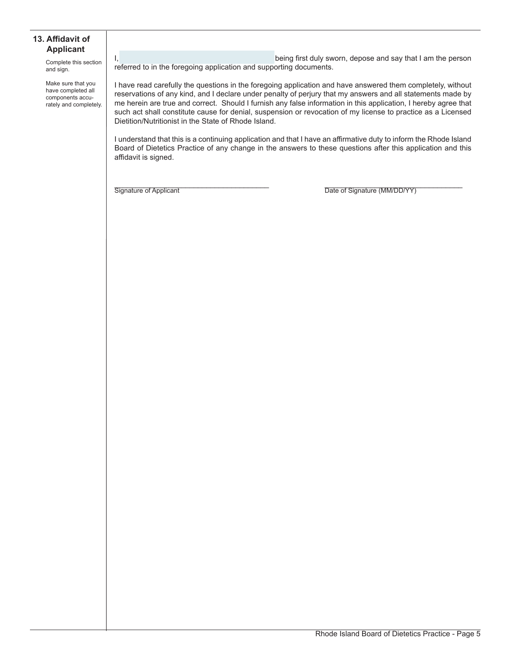#### **13. Affidavit of Applicant**

Complete this section and sign.

Make sure that you have completed all components accurately and completely. I, Let the same state of the same state of the being first duly sworn, depose and say that I am the person referred to in the foregoing application and supporting documents.

I have read carefully the questions in the foregoing application and have answered them completely, without reservations of any kind, and I declare under penalty of perjury that my answers and all statements made by me herein are true and correct. Should I furnish any false information in this application, I hereby agree that such act shall constitute cause for denial, suspension or revocation of my license to practice as a Licensed Dietition/Nutritionist in the State of Rhode Island.

I understand that this is a continuing application and that I have an affirmative duty to inform the Rhode Island Board of Dietetics Practice of any change in the answers to these questions after this application and this affidavit is signed.

Signature of Applicant **Example 20** The Signature (MM/DD/YY)